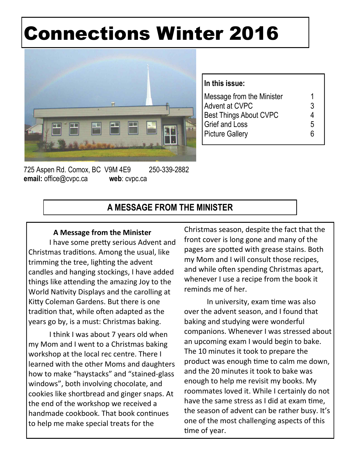# Connections Winter 2016



| In this issue:                |   |
|-------------------------------|---|
| Message from the Minister     | 1 |
| Advent at CVPC                | 3 |
| <b>Best Things About CVPC</b> |   |
| <b>Grief and Loss</b>         | 5 |
| <b>Picture Gallery</b>        | հ |

725 Aspen Rd. Comox, BC V9M 4E9 250-339-2882 **email:** office@cvpc.ca **web**: cvpc.ca

# **A MESSAGE FROM THE MINISTER**

#### **A Message from the Minister**

I have some pretty serious Advent and Christmas traditions. Among the usual, like trimming the tree, lighting the advent candles and hanging stockings, I have added things like attending the amazing Joy to the World Nativity Displays and the carolling at Kitty Coleman Gardens. But there is one tradition that, while often adapted as the years go by, is a must: Christmas baking.

I think I was about 7 years old when my Mom and I went to a Christmas baking workshop at the local rec centre. There I learned with the other Moms and daughters how to make "haystacks" and "stained-glass windows", both involving chocolate, and cookies like shortbread and ginger snaps. At the end of the workshop we received a handmade cookbook. That book continues to help me make special treats for the

Christmas season, despite the fact that the front cover is long gone and many of the pages are spotted with grease stains. Both my Mom and I will consult those recipes, and while often spending Christmas apart, whenever I use a recipe from the book it reminds me of her.

In university, exam time was also over the advent season, and I found that baking and studying were wonderful companions. Whenever I was stressed about an upcoming exam I would begin to bake. The 10 minutes it took to prepare the product was enough time to calm me down, and the 20 minutes it took to bake was enough to help me revisit my books. My roommates loved it. While I certainly do not have the same stress as I did at exam time, the season of advent can be rather busy. It's one of the most challenging aspects of this time of year.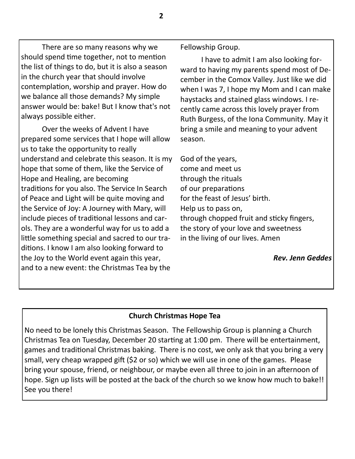There are so many reasons why we should spend time together, not to mention the list of things to do, but it is also a season in the church year that should involve contemplation, worship and prayer. How do we balance all those demands? My simple answer would be: bake! But I know that's not always possible either.

Over the weeks of Advent I have prepared some services that I hope will allow us to take the opportunity to really understand and celebrate this season. It is my hope that some of them, like the Service of Hope and Healing, are becoming traditions for you also. The Service In Search of Peace and Light will be quite moving and the Service of Joy: A Journey with Mary, will include pieces of traditional lessons and carols. They are a wonderful way for us to add a little something special and sacred to our traditions. I know I am also looking forward to the Joy to the World event again this year, and to a new event: the Christmas Tea by the

Fellowship Group.

I have to admit I am also looking forward to having my parents spend most of December in the Comox Valley. Just like we did when I was 7, I hope my Mom and I can make haystacks and stained glass windows. I recently came across this lovely prayer from Ruth Burgess, of the Iona Community. May it bring a smile and meaning to your advent season.

God of the years, come and meet us through the rituals of our preparations for the feast of Jesus' birth. Help us to pass on, through chopped fruit and sticky fingers, the story of your love and sweetness in the living of our lives. Amen

*Rev. Jenn Geddes* 

#### **Church Christmas Hope Tea**

No need to be lonely this Christmas Season. The Fellowship Group is planning a Church Christmas Tea on Tuesday, December 20 starting at 1:00 pm. There will be entertainment, games and traditional Christmas baking. There is no cost, we only ask that you bring a very small, very cheap wrapped gift (\$2 or so) which we will use in one of the games. Please bring your spouse, friend, or neighbour, or maybe even all three to join in an afternoon of hope. Sign up lists will be posted at the back of the church so we know how much to bake!! See you there!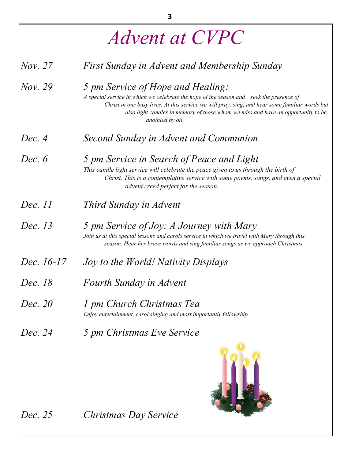| <i>Advent at CVPC</i> |                                                                                                                                                                                                                                                                                                                                        |  |  |  |
|-----------------------|----------------------------------------------------------------------------------------------------------------------------------------------------------------------------------------------------------------------------------------------------------------------------------------------------------------------------------------|--|--|--|
| Nov. 27               | First Sunday in Advent and Membership Sunday                                                                                                                                                                                                                                                                                           |  |  |  |
| Nov. 29               | 5 pm Service of Hope and Healing:<br>A special service in which we celebrate the hope of the season and seek the presence of<br>Christ in our busy lives. At this service we will pray, sing, and hear some familiar words but<br>also light candles in memory of those whom we miss and have an opportunity to be<br>anointed by oil. |  |  |  |
| Dec. 4                | Second Sunday in Advent and Communion                                                                                                                                                                                                                                                                                                  |  |  |  |
| Dec. $6$              | 5 pm Service in Search of Peace and Light<br>This candle light service will celebrate the peace given to us through the birth of<br>Christ. This is a contemplative service with some poems, songs, and even a special<br>advent creed perfect for the season.                                                                         |  |  |  |
| Dec. 11               | Third Sunday in Advent                                                                                                                                                                                                                                                                                                                 |  |  |  |
| Dec. 13               | 5 pm Service of Joy: A Journey with Mary<br>Join us at this special lessons and carols service in which we travel with Mary through this<br>season. Hear her brave words and sing familiar songs as we approach Christmas.                                                                                                             |  |  |  |
| Dec. 16-17            | Joy to the World! Nativity Displays                                                                                                                                                                                                                                                                                                    |  |  |  |
| <i>Dec.</i> 18        | Fourth Sunday in Advent                                                                                                                                                                                                                                                                                                                |  |  |  |
| Dec. 20               | 1 pm Church Christmas Tea<br>Enjoy entertainment, carol singing and most importantly fellowship                                                                                                                                                                                                                                        |  |  |  |
| Dec. 24               | 5 pm Christmas Eve Service                                                                                                                                                                                                                                                                                                             |  |  |  |
| Dec. 25               | Christmas Day Service                                                                                                                                                                                                                                                                                                                  |  |  |  |

3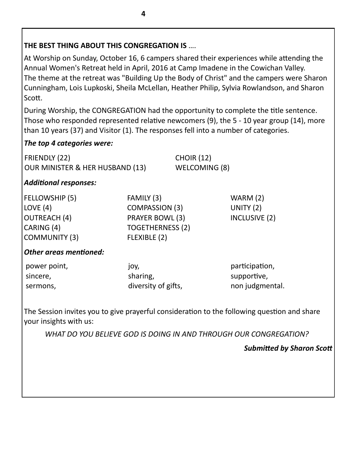# **THE BEST THING ABOUT THIS CONGREGATION IS ....**

At Worship on Sunday, October 16, 6 campers shared their experiences while attending the Annual Women's Retreat held in April, 2016 at Camp Imadene in the Cowichan Valley. The theme at the retreat was "Building Up the Body of Christ" and the campers were Sharon Cunningham, Lois Lupkoski, Sheila McLellan, Heather Philip, Sylvia Rowlandson, and Sharon Scott.

During Worship, the CONGREGATION had the opportunity to complete the title sentence. Those who responded represented relative newcomers (9), the 5 - 10 year group (14), more than 10 years (37) and Visitor (1). The responses fell into a number of categories.

# *The top 4 categories were:*

| FRIENDLY (22)                              |  |
|--------------------------------------------|--|
| <b>OUR MINISTER &amp; HER HUSBAND (13)</b> |  |

 $CHOIR(12)$ WELCOMING (8)

## Additional responses:

| FELLOWSHIP (5)       | FAMILY (3)              | WARM(2)       |
|----------------------|-------------------------|---------------|
| LOVE $(4)$           | <b>COMPASSION (3)</b>   | UNITY $(2)$   |
| <b>OUTREACH</b> (4)  | PRAYER BOWL (3)         | INCLUSIVE (2) |
| CARING (4)           | <b>TOGETHERNESS (2)</b> |               |
| <b>COMMUNITY (3)</b> | FLEXIBLE (2)            |               |

## **Other areas mentioned:**

| power point, | JOY,                | participation,  |
|--------------|---------------------|-----------------|
| sincere,     | sharing,            | supportive,     |
| sermons,     | diversity of gifts, | non judgmental. |

The Session invites you to give prayerful consideration to the following question and share your insights with us:

*WHAT DO YOU BELIEVE GOD IS DOING IN AND THROUGH OUR CONGREGATION?* 

**Submitted by Sharon Scott**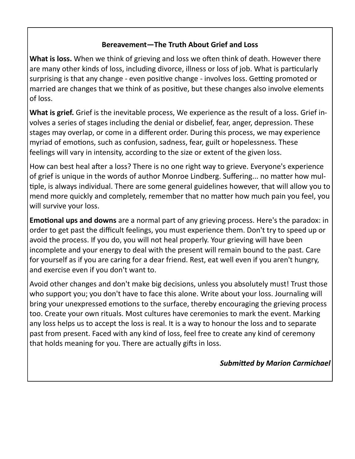## **Bereavement-The Truth About Grief and Loss**

**What is loss.** When we think of grieving and loss we often think of death. However there are many other kinds of loss, including divorce, illness or loss of job. What is particularly surprising is that any change - even positive change - involves loss. Getting promoted or married are changes that we think of as positive, but these changes also involve elements of loss.

**What is grief.** Grief is the inevitable process, We experience as the result of a loss. Grief involves a series of stages including the denial or disbelief, fear, anger, depression. These stages may overlap, or come in a different order. During this process, we may experience myriad of emotions, such as confusion, sadness, fear, guilt or hopelessness. These feelings will vary in intensity, according to the size or extent of the given loss.

How can best heal after a loss? There is no one right way to grieve. Everyone's experience of grief is unique in the words of author Monroe Lindberg. Suffering... no matter how multiple, is always individual. There are some general guidelines however, that will allow you to mend more quickly and completely, remember that no matter how much pain you feel, you will survive your loss.

**Emotional ups and downs** are a normal part of any grieving process. Here's the paradox: in order to get past the difficult feelings, you must experience them. Don't try to speed up or avoid the process. If you do, you will not heal properly. Your grieving will have been incomplete and your energy to deal with the present will remain bound to the past. Care for yourself as if you are caring for a dear friend. Rest, eat well even if you aren't hungry, and exercise even if you don't want to.

Avoid other changes and don't make big decisions, unless you absolutely must! Trust those who support you; you don't have to face this alone. Write about your loss. Journaling will bring your unexpressed emotions to the surface, thereby encouraging the grieving process too. Create your own rituals. Most cultures have ceremonies to mark the event. Marking any loss helps us to accept the loss is real. It is a way to honour the loss and to separate past from present. Faced with any kind of loss, feel free to create any kind of ceremony that holds meaning for you. There are actually gifts in loss.

#### **Submitted by Marion Carmichael**